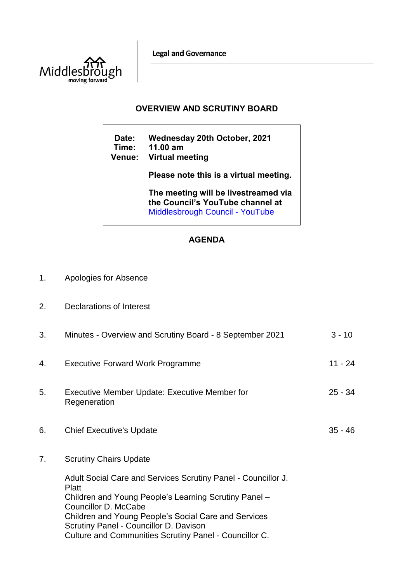**Legal and Governance** 



## **OVERVIEW AND SCRUTINY BOARD**

**Date: Wednesday 20th October, 2021 Time: 11.00 am Venue: Virtual meeting Please note this is a virtual meeting. The meeting will be livestreamed via the Council's YouTube channel at**  [Middlesbrough Council -](https://www.youtube.com/user/middlesbroughcouncil) YouTube

## **AGENDA**

- 1. Apologies for Absence
- 2. Declarations of Interest

| 3. | Minutes - Overview and Scrutiny Board - 8 September 2021                                                                                                                                                        | $3 - 10$  |
|----|-----------------------------------------------------------------------------------------------------------------------------------------------------------------------------------------------------------------|-----------|
| 4. | <b>Executive Forward Work Programme</b>                                                                                                                                                                         | $11 - 24$ |
| 5. | Executive Member Update: Executive Member for<br>Regeneration                                                                                                                                                   | $25 - 34$ |
| 6. | <b>Chief Executive's Update</b>                                                                                                                                                                                 | $35 - 46$ |
| 7. | <b>Scrutiny Chairs Update</b>                                                                                                                                                                                   |           |
|    | Adult Social Care and Services Scrutiny Panel - Councillor J.<br>Platt<br>Children and Young People's Learning Scrutiny Panel -<br>Councillor D. McCabe<br>Children and Young People's Social Care and Services |           |
|    | Scrutiny Panel - Councillor D. Davison<br>Culture and Communities Scrutiny Panel - Councillor C.                                                                                                                |           |